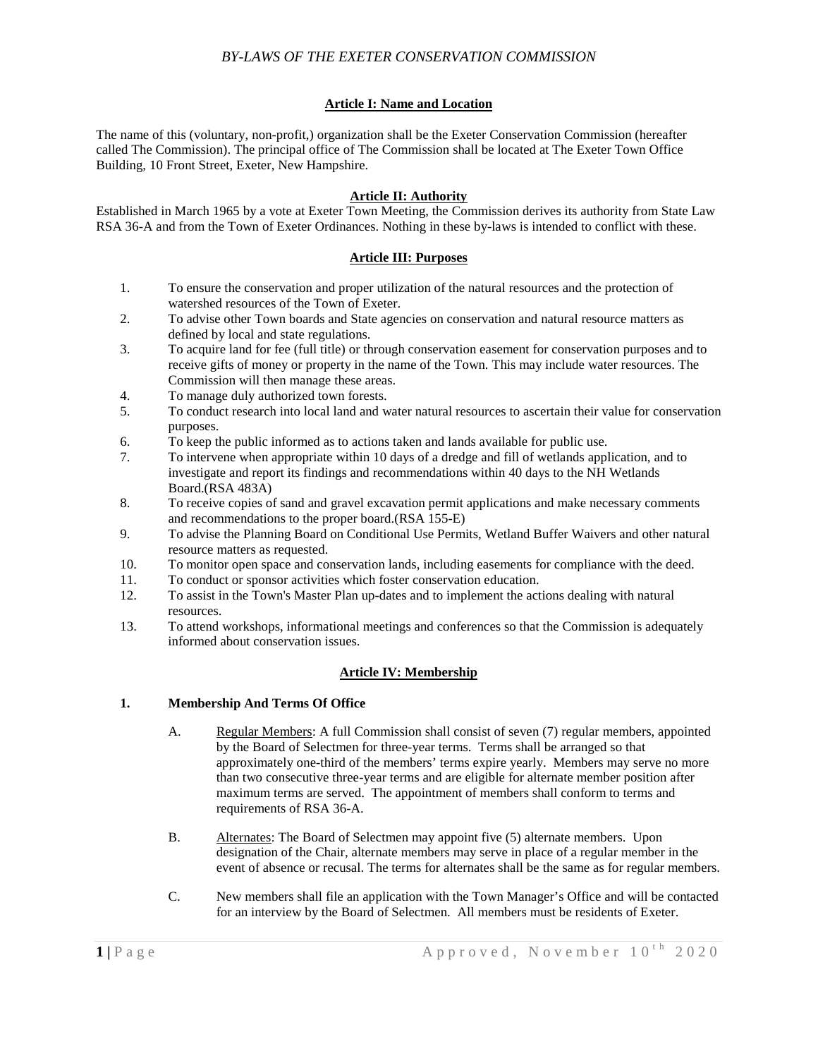# *BY-LAWS OF THE EXETER CONSERVATION COMMISSION*

### **Article I: Name and Location**

The name of this (voluntary, non-profit,) organization shall be the Exeter Conservation Commission (hereafter called The Commission). The principal office of The Commission shall be located at The Exeter Town Office Building, 10 Front Street, Exeter, New Hampshire.

### **Article II: Authority**

Established in March 1965 by a vote at Exeter Town Meeting, the Commission derives its authority from State Law RSA 36-A and from the Town of Exeter Ordinances. Nothing in these by-laws is intended to conflict with these.

### **Article III: Purposes**

- 1. To ensure the conservation and proper utilization of the natural resources and the protection of watershed resources of the Town of Exeter.
- 2. To advise other Town boards and State agencies on conservation and natural resource matters as defined by local and state regulations.
- 3. To acquire land for fee (full title) or through conservation easement for conservation purposes and to receive gifts of money or property in the name of the Town. This may include water resources. The Commission will then manage these areas.
- 4. To manage duly authorized town forests.
- 5. To conduct research into local land and water natural resources to ascertain their value for conservation purposes.
- 6. To keep the public informed as to actions taken and lands available for public use.
- 7. To intervene when appropriate within 10 days of a dredge and fill of wetlands application, and to investigate and report its findings and recommendations within 40 days to the NH Wetlands Board.(RSA 483A)
- 8. To receive copies of sand and gravel excavation permit applications and make necessary comments and recommendations to the proper board.(RSA 155-E)
- 9. To advise the Planning Board on Conditional Use Permits, Wetland Buffer Waivers and other natural resource matters as requested.
- 10. To monitor open space and conservation lands, including easements for compliance with the deed.<br>11. To conduct or sponsor activities which foster conservation education.
- To conduct or sponsor activities which foster conservation education.
- 12. To assist in the Town's Master Plan up-dates and to implement the actions dealing with natural resources.
- 13. To attend workshops, informational meetings and conferences so that the Commission is adequately informed about conservation issues.

## **Article IV: Membership**

#### **1. Membership And Terms Of Office**

- A. Regular Members: A full Commission shall consist of seven (7) regular members, appointed by the Board of Selectmen for three-year terms. Terms shall be arranged so that approximately one-third of the members' terms expire yearly. Members may serve no more than two consecutive three-year terms and are eligible for alternate member position after maximum terms are served. The appointment of members shall conform to terms and requirements of RSA 36-A.
- B. Alternates: The Board of Selectmen may appoint five (5) alternate members. Upon designation of the Chair, alternate members may serve in place of a regular member in the event of absence or recusal. The terms for alternates shall be the same as for regular members.
- C. New members shall file an application with the Town Manager's Office and will be contacted for an interview by the Board of Selectmen. All members must be residents of Exeter.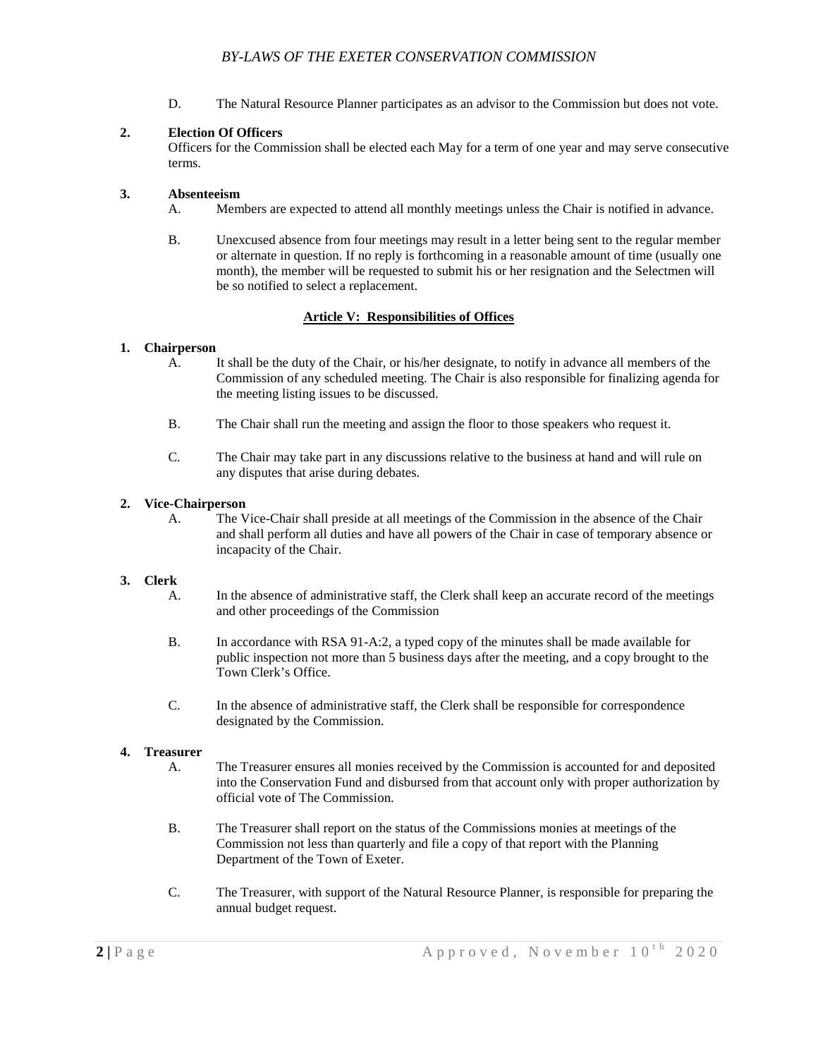D. The Natural Resource Planner participates as an advisor to the Commission but does not vote.

## **2. Election Of Officers**

Officers for the Commission shall be elected each May for a term of one year and may serve consecutive terms.

## **3. Absenteeism**

- A. Members are expected to attend all monthly meetings unless the Chair is notified in advance.
- B. Unexcused absence from four meetings may result in a letter being sent to the regular member or alternate in question. If no reply is forthcoming in a reasonable amount of time (usually one month), the member will be requested to submit his or her resignation and the Selectmen will be so notified to select a replacement.

## **Article V: Responsibilities of Offices**

## **1. Chairperson**

- A. It shall be the duty of the Chair, or his/her designate, to notify in advance all members of the Commission of any scheduled meeting. The Chair is also responsible for finalizing agenda for the meeting listing issues to be discussed.
- B. The Chair shall run the meeting and assign the floor to those speakers who request it.
- C. The Chair may take part in any discussions relative to the business at hand and will rule on any disputes that arise during debates.

## **2. Vice-Chairperson**

A. The Vice-Chair shall preside at all meetings of the Commission in the absence of the Chair and shall perform all duties and have all powers of the Chair in case of temporary absence or incapacity of the Chair.

## **3. Clerk**

- A. In the absence of administrative staff, the Clerk shall keep an accurate record of the meetings and other proceedings of the Commission
- B. In accordance with RSA 91-A:2, a typed copy of the minutes shall be made available for public inspection not more than 5 business days after the meeting, and a copy brought to the Town Clerk's Office.
- C. In the absence of administrative staff, the Clerk shall be responsible for correspondence designated by the Commission.

## **4. Treasurer**

- A. The Treasurer ensures all monies received by the Commission is accounted for and deposited into the Conservation Fund and disbursed from that account only with proper authorization by official vote of The Commission.
- B. The Treasurer shall report on the status of the Commissions monies at meetings of the Commission not less than quarterly and file a copy of that report with the Planning Department of the Town of Exeter.
- C. The Treasurer, with support of the Natural Resource Planner, is responsible for preparing the annual budget request.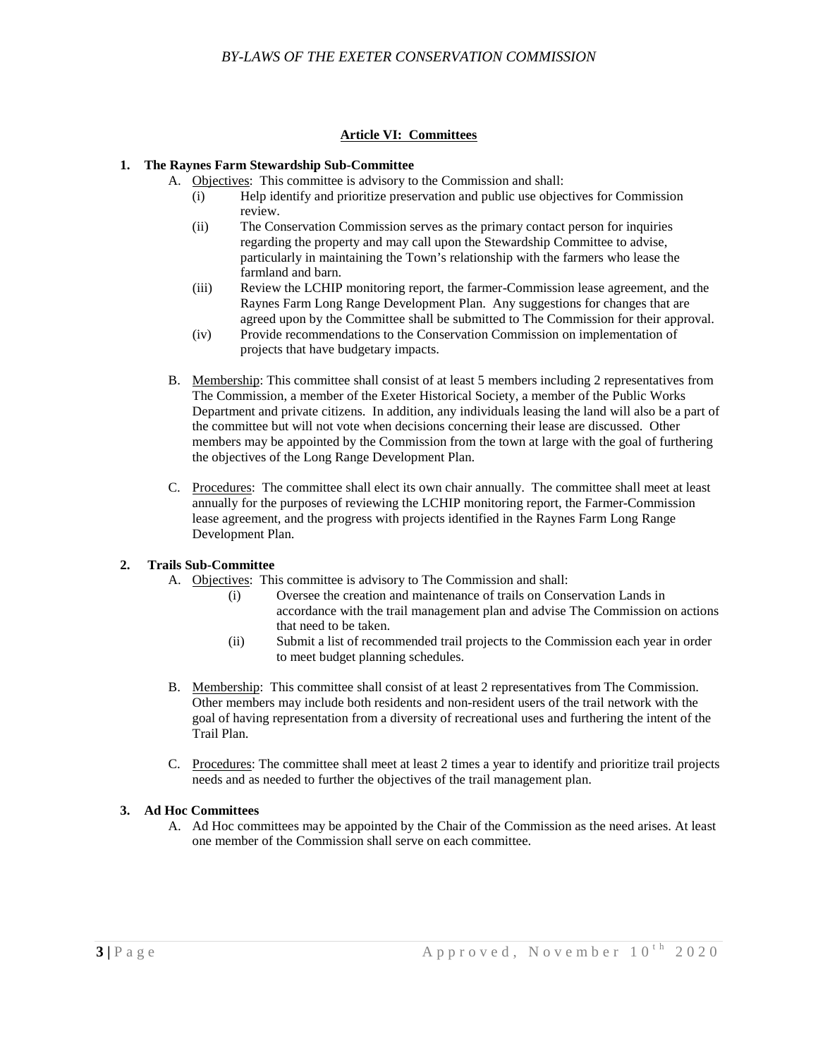## **Article VI: Committees**

## **1. The Raynes Farm Stewardship Sub-Committee**

- A. Objectives: This committee is advisory to the Commission and shall:
	- (i) Help identify and prioritize preservation and public use objectives for Commission review.
	- (ii) The Conservation Commission serves as the primary contact person for inquiries regarding the property and may call upon the Stewardship Committee to advise, particularly in maintaining the Town's relationship with the farmers who lease the farmland and barn.
	- (iii) Review the LCHIP monitoring report, the farmer-Commission lease agreement, and the Raynes Farm Long Range Development Plan. Any suggestions for changes that are agreed upon by the Committee shall be submitted to The Commission for their approval.
	- (iv) Provide recommendations to the Conservation Commission on implementation of projects that have budgetary impacts.
- B. Membership: This committee shall consist of at least 5 members including 2 representatives from The Commission, a member of the Exeter Historical Society, a member of the Public Works Department and private citizens. In addition, any individuals leasing the land will also be a part of the committee but will not vote when decisions concerning their lease are discussed. Other members may be appointed by the Commission from the town at large with the goal of furthering the objectives of the Long Range Development Plan.
- C. Procedures: The committee shall elect its own chair annually. The committee shall meet at least annually for the purposes of reviewing the LCHIP monitoring report, the Farmer-Commission lease agreement, and the progress with projects identified in the Raynes Farm Long Range Development Plan.

## **2. Trails Sub-Committee**

- A. Objectives: This committee is advisory to The Commission and shall:
	- (i) Oversee the creation and maintenance of trails on Conservation Lands in accordance with the trail management plan and advise The Commission on actions that need to be taken.
	- (ii) Submit a list of recommended trail projects to the Commission each year in order to meet budget planning schedules.
- B. Membership: This committee shall consist of at least 2 representatives from The Commission. Other members may include both residents and non-resident users of the trail network with the goal of having representation from a diversity of recreational uses and furthering the intent of the Trail Plan.
- C. Procedures: The committee shall meet at least 2 times a year to identify and prioritize trail projects needs and as needed to further the objectives of the trail management plan.

## **3. Ad Hoc Committees**

A. Ad Hoc committees may be appointed by the Chair of the Commission as the need arises. At least one member of the Commission shall serve on each committee.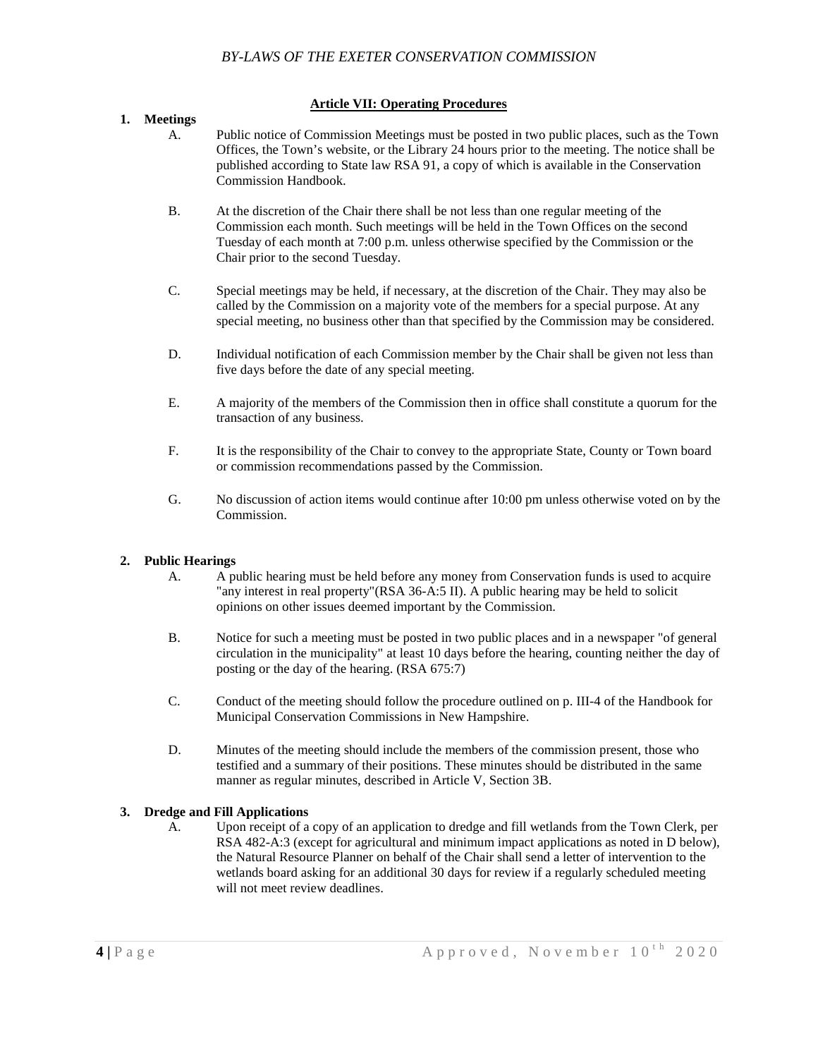### **Article VII: Operating Procedures**

### **1. Meetings**

- A. Public notice of Commission Meetings must be posted in two public places, such as the Town Offices, the Town's website, or the Library 24 hours prior to the meeting. The notice shall be published according to State law RSA 91, a copy of which is available in the Conservation Commission Handbook.
- B. At the discretion of the Chair there shall be not less than one regular meeting of the Commission each month. Such meetings will be held in the Town Offices on the second Tuesday of each month at 7:00 p.m. unless otherwise specified by the Commission or the Chair prior to the second Tuesday.
- C. Special meetings may be held, if necessary, at the discretion of the Chair. They may also be called by the Commission on a majority vote of the members for a special purpose. At any special meeting, no business other than that specified by the Commission may be considered.
- D. Individual notification of each Commission member by the Chair shall be given not less than five days before the date of any special meeting.
- E. A majority of the members of the Commission then in office shall constitute a quorum for the transaction of any business.
- F. It is the responsibility of the Chair to convey to the appropriate State, County or Town board or commission recommendations passed by the Commission.
- G. No discussion of action items would continue after 10:00 pm unless otherwise voted on by the Commission.

## **2. Public Hearings**

- A. A public hearing must be held before any money from Conservation funds is used to acquire "any interest in real property"(RSA 36-A:5 II). A public hearing may be held to solicit opinions on other issues deemed important by the Commission.
- B. Notice for such a meeting must be posted in two public places and in a newspaper "of general circulation in the municipality" at least 10 days before the hearing, counting neither the day of posting or the day of the hearing. (RSA 675:7)
- C. Conduct of the meeting should follow the procedure outlined on p. III-4 of the Handbook for Municipal Conservation Commissions in New Hampshire.
- D. Minutes of the meeting should include the members of the commission present, those who testified and a summary of their positions. These minutes should be distributed in the same manner as regular minutes, described in Article V, Section 3B.

## **3. Dredge and Fill Applications**

A. Upon receipt of a copy of an application to dredge and fill wetlands from the Town Clerk, per RSA 482-A:3 (except for agricultural and minimum impact applications as noted in D below), the Natural Resource Planner on behalf of the Chair shall send a letter of intervention to the wetlands board asking for an additional 30 days for review if a regularly scheduled meeting will not meet review deadlines.